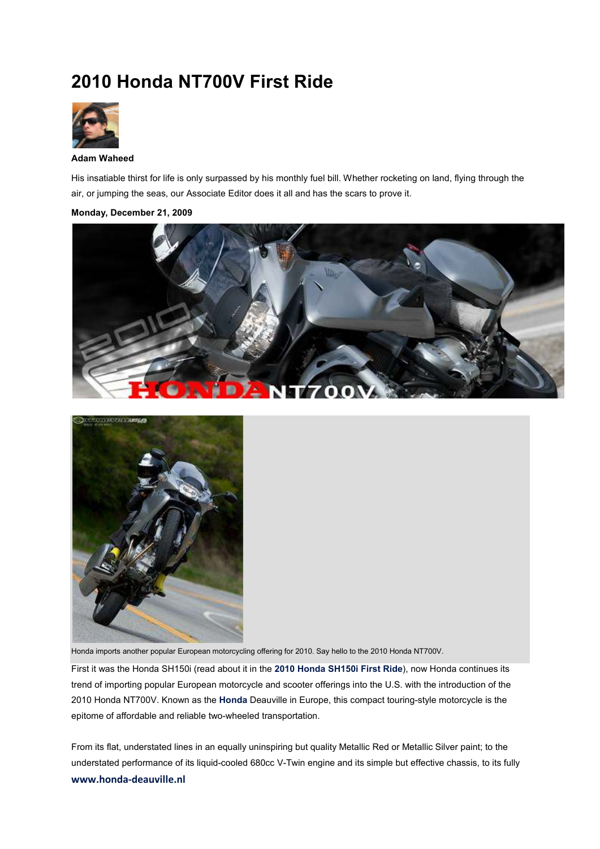## **2010 Honda NT700V First Ride**



## **Adam Waheed**

His insatiable thirst for life is only surpassed by his monthly fuel bill. Whether rocketing on land, flying through the air, or jumping the seas, our Associate Editor does it all and has the scars to prove it.

## **Monday, December 21, 2009**





Honda imports another popular European motorcycling offering for 2010. Say hello to the 2010 Honda NT700V.

First it was the Honda SH150i (read about it in the **2010 Honda SH150i First Ride**), now Honda continues its trend of importing popular European motorcycle and scooter offerings into the U.S. with the introduction of the 2010 Honda NT700V. Known as the **Honda** Deauville in Europe, this compact touring-style motorcycle is the epitome of affordable and reliable two-wheeled transportation.

**www.honda-deauville.nl** From its flat, understated lines in an equally uninspiring but quality Metallic Red or Metallic Silver paint; to the understated performance of its liquid-cooled 680cc V-Twin engine and its simple but effective chassis, to its fully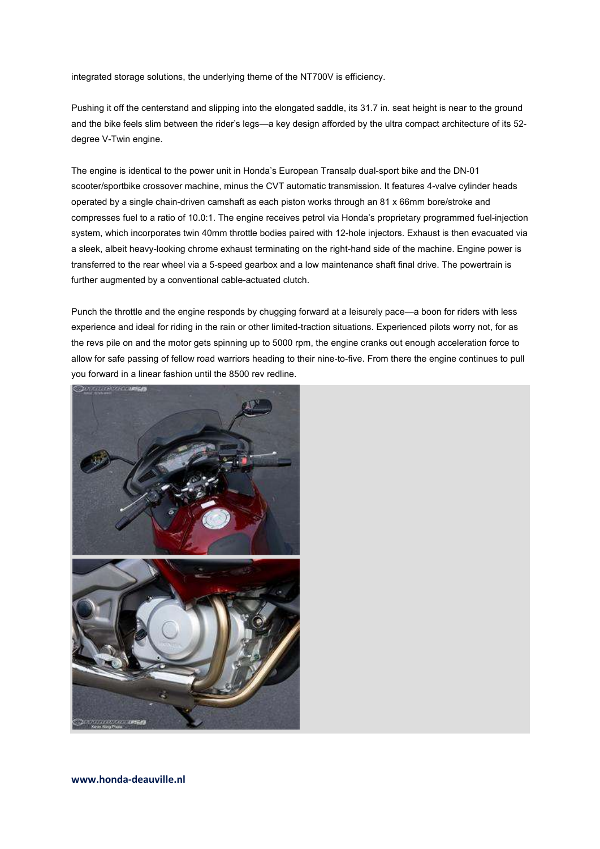integrated storage solutions, the underlying theme of the NT700V is efficiency.

Pushing it off the centerstand and slipping into the elongated saddle, its 31.7 in. seat height is near to the ground and the bike feels slim between the rider's legs—a key design afforded by the ultra compact architecture of its 52 degree V-Twin engine.

The engine is identical to the power unit in Honda's European Transalp dual-sport bike and the DN-01 scooter/sportbike crossover machine, minus the CVT automatic transmission. It features 4-valve cylinder heads operated by a single chain-driven camshaft as each piston works through an 81 x 66mm bore/stroke and compresses fuel to a ratio of 10.0:1. The engine receives petrol via Honda's proprietary programmed fuel-injection system, which incorporates twin 40mm throttle bodies paired with 12-hole injectors. Exhaust is then evacuated via a sleek, albeit heavy-looking chrome exhaust terminating on the right-hand side of the machine. Engine power is transferred to the rear wheel via a 5-speed gearbox and a low maintenance shaft final drive. The powertrain is further augmented by a conventional cable-actuated clutch.

Punch the throttle and the engine responds by chugging forward at a leisurely pace—a boon for riders with less experience and ideal for riding in the rain or other limited-traction situations. Experienced pilots worry not, for as the revs pile on and the motor gets spinning up to 5000 rpm, the engine cranks out enough acceleration force to allow for safe passing of fellow road warriors heading to their nine-to-five. From there the engine continues to pull you forward in a linear fashion until the 8500 rev redline.

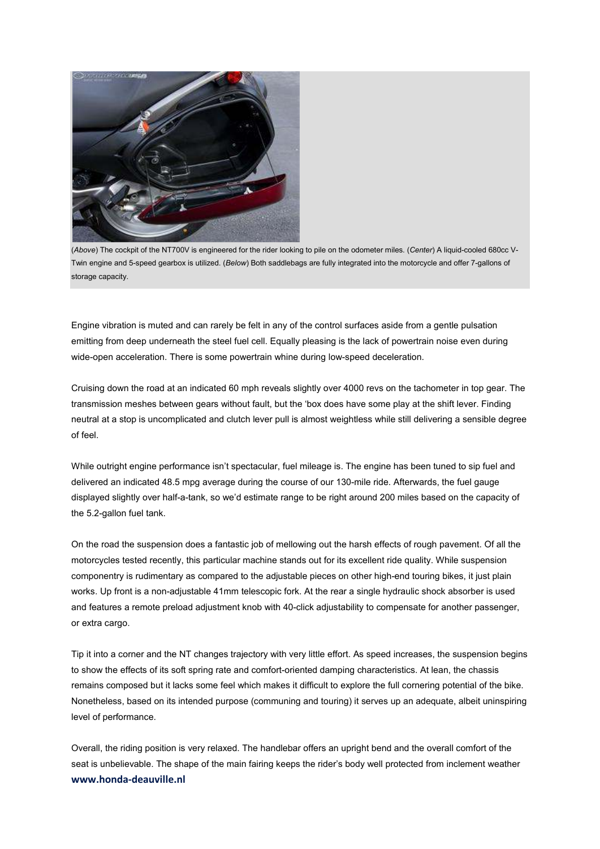

(*Above*) The cockpit of the NT700V is engineered for the rider looking to pile on the odometer miles. (*Center*) A liquid-cooled 680cc V-Twin engine and 5-speed gearbox is utilized. (*Below*) Both saddlebags are fully integrated into the motorcycle and offer 7-gallons of storage capacity.

Engine vibration is muted and can rarely be felt in any of the control surfaces aside from a gentle pulsation emitting from deep underneath the steel fuel cell. Equally pleasing is the lack of powertrain noise even during wide-open acceleration. There is some powertrain whine during low-speed deceleration.

Cruising down the road at an indicated 60 mph reveals slightly over 4000 revs on the tachometer in top gear. The transmission meshes between gears without fault, but the 'box does have some play at the shift lever. Finding neutral at a stop is uncomplicated and clutch lever pull is almost weightless while still delivering a sensible degree of feel.

While outright engine performance isn't spectacular, fuel mileage is. The engine has been tuned to sip fuel and delivered an indicated 48.5 mpg average during the course of our 130-mile ride. Afterwards, the fuel gauge displayed slightly over half-a-tank, so we'd estimate range to be right around 200 miles based on the capacity of the 5.2-gallon fuel tank.

On the road the suspension does a fantastic job of mellowing out the harsh effects of rough pavement. Of all the motorcycles tested recently, this particular machine stands out for its excellent ride quality. While suspension componentry is rudimentary as compared to the adjustable pieces on other high-end touring bikes, it just plain works. Up front is a non-adjustable 41mm telescopic fork. At the rear a single hydraulic shock absorber is used and features a remote preload adjustment knob with 40-click adjustability to compensate for another passenger, or extra cargo.

Tip it into a corner and the NT changes trajectory with very little effort. As speed increases, the suspension begins to show the effects of its soft spring rate and comfort-oriented damping characteristics. At lean, the chassis remains composed but it lacks some feel which makes it difficult to explore the full cornering potential of the bike. Nonetheless, based on its intended purpose (communing and touring) it serves up an adequate, albeit uninspiring level of performance.

**www.honda-deauville.nl** Overall, the riding position is very relaxed. The handlebar offers an upright bend and the overall comfort of the seat is unbelievable. The shape of the main fairing keeps the rider's body well protected from inclement weather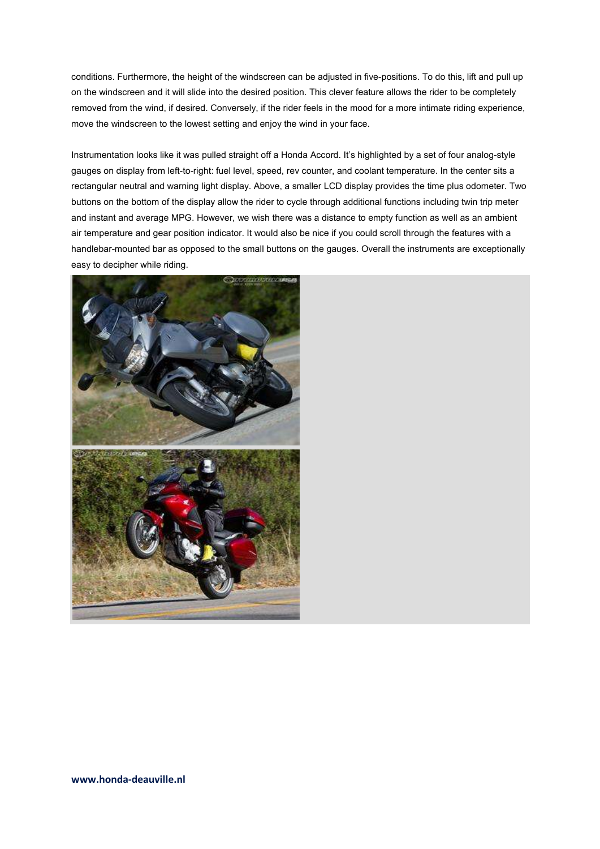conditions. Furthermore, the height of the windscreen can be adjusted in five-positions. To do this, lift and pull up on the windscreen and it will slide into the desired position. This clever feature allows the rider to be completely removed from the wind, if desired. Conversely, if the rider feels in the mood for a more intimate riding experience, move the windscreen to the lowest setting and enjoy the wind in your face.

Instrumentation looks like it was pulled straight off a Honda Accord. It's highlighted by a set of four analog-style gauges on display from left-to-right: fuel level, speed, rev counter, and coolant temperature. In the center sits a rectangular neutral and warning light display. Above, a smaller LCD display provides the time plus odometer. Two buttons on the bottom of the display allow the rider to cycle through additional functions including twin trip meter and instant and average MPG. However, we wish there was a distance to empty function as well as an ambient air temperature and gear position indicator. It would also be nice if you could scroll through the features with a handlebar-mounted bar as opposed to the small buttons on the gauges. Overall the instruments are exceptionally easy to decipher while riding.